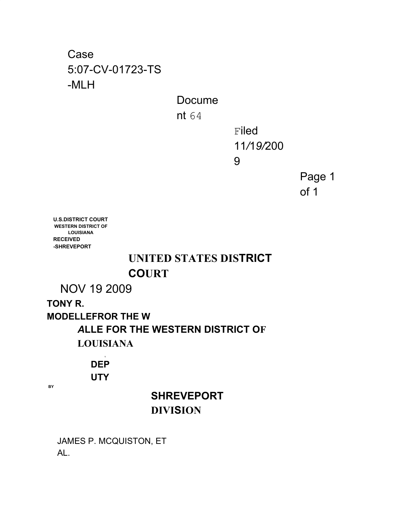Case 5:07-CV-01723-TS -MLH

Docume

nt 64

Filed 11*/*1*9/*200

9

Page 1 of 1

**U.S.DISTRICT COURT WESTERN DISTRICT OF LOUISIANA RECEIVED -SHREVEPORT**

#### **UNITED STATES DISTRICT COURT**

NOV 19 2009

**TONY R. MODELLEFROR THE W** *A***LLE FOR THE WESTERN DISTRICT OF LOUISIANA**

> **1 DEP UTY**

**BY**

### **SHREVEPORT DIVISION**

JAMES P. MCQUISTON, ET AL.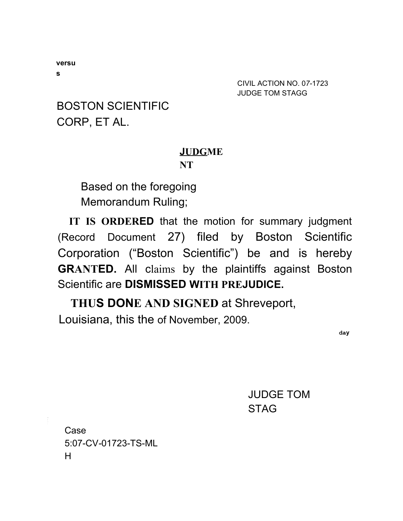BOSTON SCIENTIFIC CORP, ET AL.

#### **JUDGME**

#### **NT**

Based on the foregoing Memorandum Ruling;

**IT IS ORDERED** that the motion for summary judgment (Record Document 27) filed by Boston Scientific Corporation ("Boston Scientific") be and is hereby **GRANTED.** All claims by the plaintiffs against Boston Scientific are **DISMISSED WITH PREJUDICE.**

**THUS DONE AND SIGNED** at Shreveport, Louisiana, this the of November, 2009.

**day**

JUDGE TOM **STAG** 

Case 5:07-CV*-*01723-TS-ML H

**versu**

**s**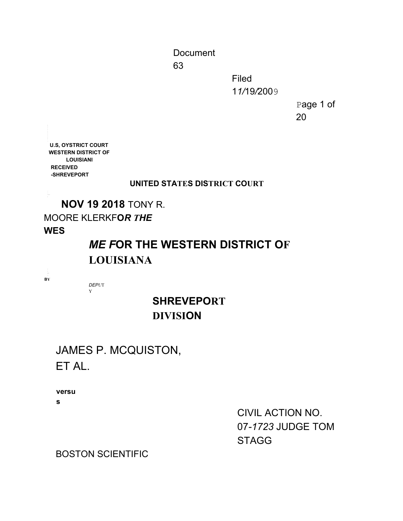Document

63

Filed 1*1/*19*/*2009

> Page 1 of 20

**U.S, OYSTRICT COURT WESTERN DISTRICT OF LOUISIANI RECEIVED -SHREVEPORT**

#### **UNITED STATES DISTRICT COURT**

**NOV 19 2018** TONY R.

#### MOORE KLERKF**O***R THE*

#### **WES**

## *ME F***OR THE WESTERN DISTRICT OF LOUISIANA**

**BY**

*DEPU*T Y

#### **SHREVEPORT DIVISION**

#### JAMES P. MCQUISTON, ET AL.

**versu**

**s**

CIVIL ACTION NO. 07*-1723* JUDGE TOM **STAGG** 

BOSTON SCIENTIFIC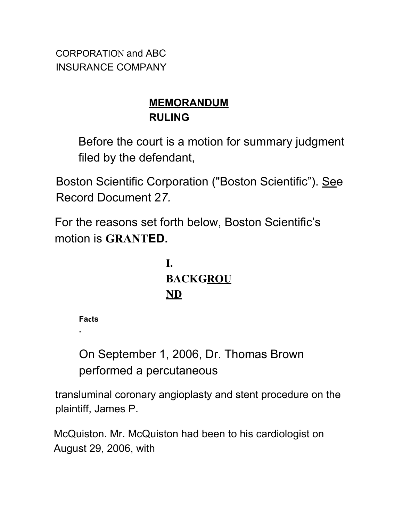CORPORATION and ABC INSURANCE COMPANY

## **MEMORANDUM RULING**

Before the court is a motion for summary judgment filed by the defendant,

Boston Scientific Corporation ("Boston Scientific"). See Record Document 2*7.*

For the reasons set forth below, Boston Scientific's motion is **GRANTED.**

> **I. BACKGROU ND**

**Facts**

**.**

On September 1, 2006, Dr. Thomas Brown performed a percutaneous

transluminal coronary angioplasty and stent procedure on the plaintiff, James P.

McQuiston. Mr. McQuiston had been to his cardiologist on August 29, 2006, with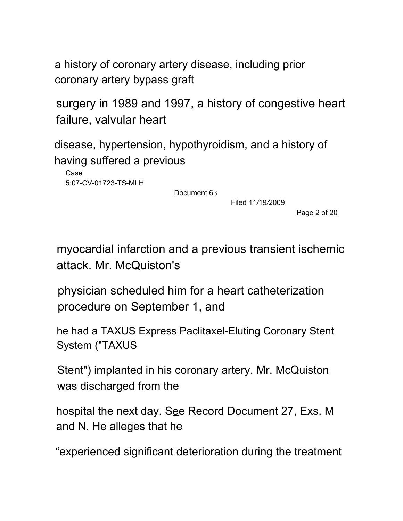a history of coronary artery disease, including prior coronary artery bypass graft

surgery in 1989 and 1997, a history of congestive heart failure, valvular heart

disease, hypertension, hypothyroidism, and a history of having suffered a previous

Case 5:07*-*CV-01723-TS-MLH

Document 63

Filed 11*/*19*/*2009

Page 2 of 20

myocardial infarction and a previous transient ischemic attack. Mr. McQuiston's

physician scheduled him for a heart catheterization procedure on September 1, and

he had a TAXUS Express Paclitaxel-Eluting Coronary Stent System ("TAXUS

Stent") implanted in his coronary artery. Mr. McQuiston was discharged from the

hospital the next day. See Record Document 27, Exs. M and N. He alleges that he

"experienced significant deterioration during the treatment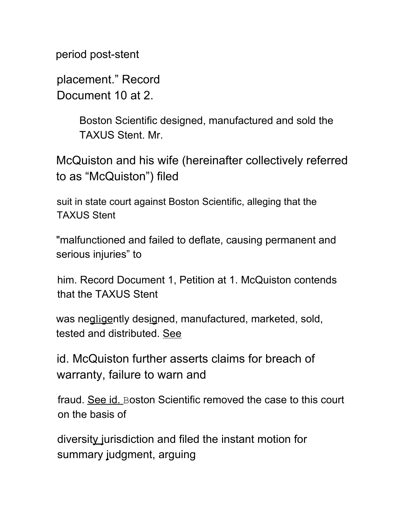period post-stent

placement." Record Document 10 at 2.

> Boston Scientific designed, manufactured and sold the TAXUS Stent. Mr.

McQuiston and his wife (hereinafter collectively referred to as "McQuiston") filed

suit in state court against Boston Scientific, alleging that the TAXUS Stent

"malfunctioned and failed to deflate, causing permanent and serious injuries" to

him. Record Document 1, Petition at 1. McQuiston contends that the TAXUS Stent

was negligently designed, manufactured, marketed, sold, tested and distributed. See

id. McQuiston further asserts claims for breach of warranty, failure to warn and

fraud. See id. Boston Scientific removed the case to this court on the basis of

diversity jurisdiction and filed the instant motion for summary judgment, arguing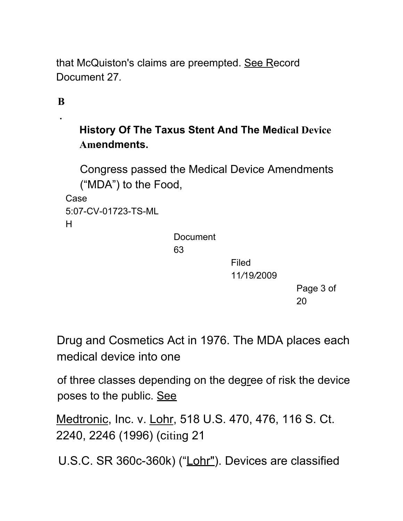that McQuiston's claims are preempted. See Record Document 27*.*

**B**

**.**

### **History Of The Taxus Stent And The Medical Device Amendments.**

Congress passed the Medical Device Amendments ("MDA") to the Food,

Case 5:07-CV-01723-TS-ML H

**Document** 

63

Filed

11*/*19*/*2009

Page 3 of 20

Drug and Cosmetics Act in 1976. The MDA places each medical device into one

of three classes depending on the degree of risk the device poses to the public. See

Medtronic, Inc. v. Lohr, 518 U.S. 470, 476, 116 S. Ct. 2240, 2246 (1996) (citing 21

U.S.C. SR 360c-360k) ("Lohr"). Devices are classified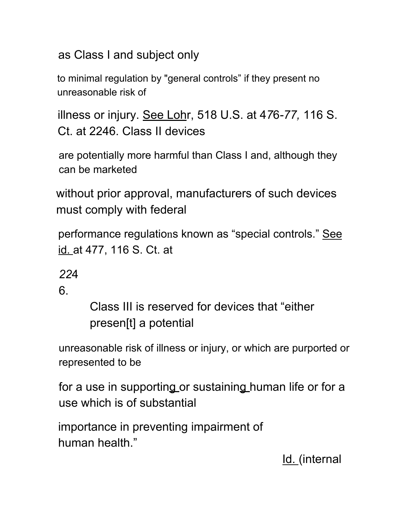as Class I and subject only

to minimal regulation by "general controls" if they present no unreasonable risk of

illness or injury. See Lohr, 518 U.S. at 4*7*6*-77,* 116 S. Ct. at 2246. Class II devices

are potentially more harmful than Class I and, although they can be marketed

without prior approval, manufacturers of such devices must comply with federal

performance regulations known as "special controls." See id. at 477, 116 S. Ct. at

*22*4

6.

Class III is reserved for devices that "either presen[t] a potential

unreasonable risk of illness or injury, or which are purported or represented to be

for a use in supporting or sustaining human life or for a use which is of substantial

importance in preventing impairment of human health."

Id. (internal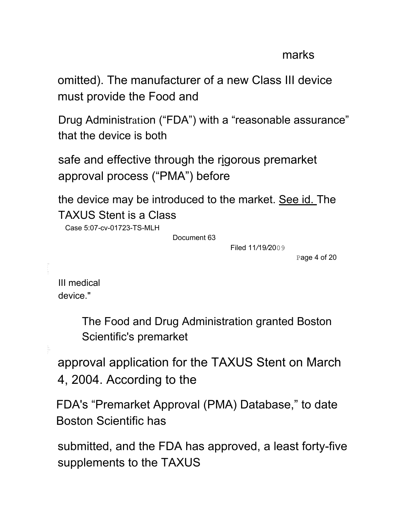#### marks

omitted). The manufacturer of a new Class III device must provide the Food and

Drug Administration ("FDA") with a "reasonable assurance" that the device is both

safe and effective through the rigorous premarket approval process ("PMA") before

the device may be introduced to the market. See id. The TAXUS Stent is a Class

Case 5:07*-*cv-01723-TS-MLH

Document 63

Filed 11*/*19*/*2009

Page 4 of 20

III medical device."

> The Food and Drug Administration granted Boston Scientific's premarket

approval application for the TAXUS Stent on March 4, 2004. According to the

FDA's "Premarket Approval (PMA) Database," to date Boston Scientific has

submitted, and the FDA has approved, a least forty-five supplements to the TAXUS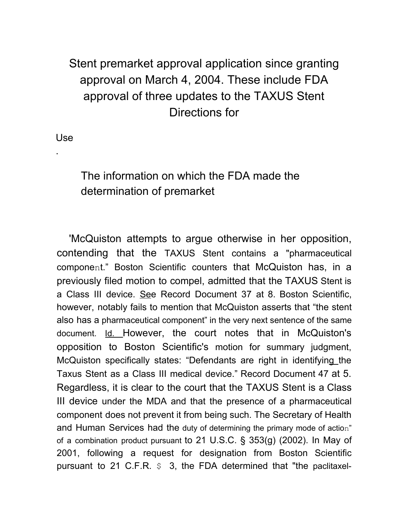## Stent premarket approval application since granting approval on March 4, 2004. These include FDA approval of three updates to the TAXUS Stent Directions for

Use

.

#### The information on which the FDA made the determination of premarket

'McQuiston attempts to argue otherwise in her opposition, contending that the TAXUS Stent contains a "pharmaceutical component." Boston Scientific counters that McQuiston has, in a previously filed motion to compel, admitted that the TAXUS Stent is a Class III device. See Record Document 37 at 8. Boston Scientific, however, notably fails to mention that McQuiston asserts that "the stent also has a pharmaceutical component" in the very next sentence of the same document. Id. However, the court notes that in McQuiston's opposition to Boston Scientific's motion for summary judgment, McQuiston specifically states: "Defendants are right in identifying the Taxus Stent as a Class III medical device." Record Document 47 at 5. Regardless, it is clear to the court that the TAXUS Stent is a Class III device under the MDA and that the presence of a pharmaceutical component does not prevent it from being such. The Secretary of Health and Human Services had the duty of determining the primary mode of action" of a combination product pursuant to 21 U.S.C. § 353(g) (2002). In May of 2001, following a request for designation from Boston Scientific pursuant to 21 C.F.R.  $\varsigma$  3, the FDA determined that "the paclitaxel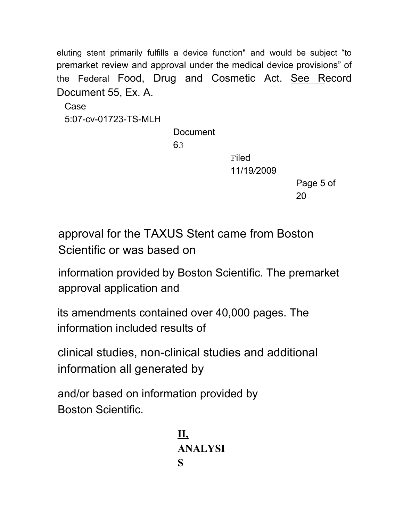eluting stent primarily fulfills a device function" and would be subject "to premarket review and approval under the medical device provisions" of the Federal Food, Drug and Cosmetic Act. See Record Document 55, Ex. A.

Case 5:07-cv-01723-TS-MLH

**Document** 

63

**Filed** 11/19*/*2009

> Page 5 of 20

approval for the TAXUS Stent came from Boston Scientific or was based on

information provided by Boston Scientific. The premarket approval application and

its amendments contained over 40,000 pages. The information included results of

clinical studies, non-clinical studies and additional information all generated by

and/or based on information provided by Boston Scientific.

> **II, ANALYSI S**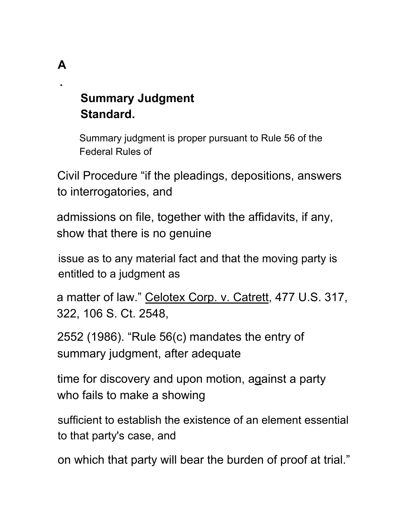# **Summary Judgment Standard.**

**A**

**.**

Summary judgment is proper pursuant to Rule 56 of the Federal Rules of

Civil Procedure "if the pleadings, depositions, answers to interrogatories, and

admissions on file, together with the affidavits, if any, show that there is no genuine

issue as to any material fact and that the moving party is entitled to a judgment as

a matter of law." Celotex Corp. v. Catrett, 477 U.S. 317, 322, 106 S. Ct. 2548,

2552 (1986). "Rule 56(c) mandates the entry of summary judgment, after adequate

time for discovery and upon motion, against a party who fails to make a showing

sufficient to establish the existence of an element essential to that party's case, and

on which that party will bear the burden of proof at trial."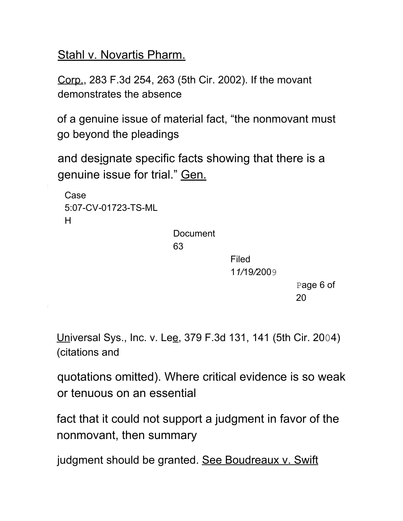Stahl v. Novartis Pharm.

Corp., 283 F.3d 254, 263 (5th Cir. 2002). If the movant demonstrates the absence

of a genuine issue of material fact, "the nonmovant must go beyond the pleadings

and designate specific facts showing that there is a genuine issue for trial." Gen.

```
Case
5:07-CV-01723-TS-ML
H
```
Document

63

Filed 1*1/*19*/*2009

> Page 6 of 20

Universal Sys., Inc. v. Lee, 379 F.3d 131, 141 (5th Cir. 2004) (citations and

quotations omitted). Where critical evidence is so weak or tenuous on an essential

fact that it could not support a judgment in favor of the nonmovant, then summary

judgment should be granted. See Boudreaux v. Swift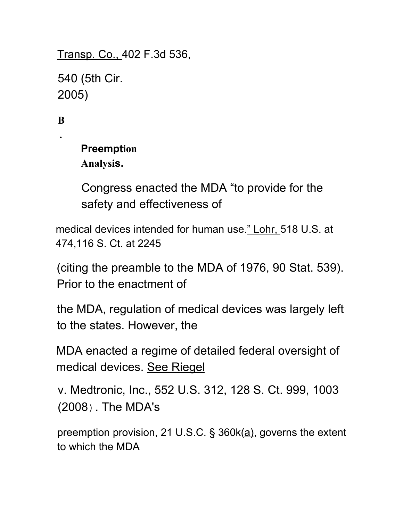Transp. Co., 402 F.3d 536,

540 (5th Cir. 2005)

**B**

**.**

**Preemption Analysis.**

Congress enacted the MDA "to provide for the safety and effectiveness of

medical devices intended for human use." Lohr, 518 U.S. at 474,116 S. Ct. at 2245

(citing the preamble to the MDA of 1976, 90 Stat. 539). Prior to the enactment of

the MDA, regulation of medical devices was largely left to the states. However, the

MDA enacted a regime of detailed federal oversight of medical devices. See Riegel

v. Medtronic, Inc., 552 U.S. 312, 128 S. Ct. 999, 1003 (2008). The MDA's

preemption provision, 21 U.S.C. § 360k(a), governs the extent to which the MDA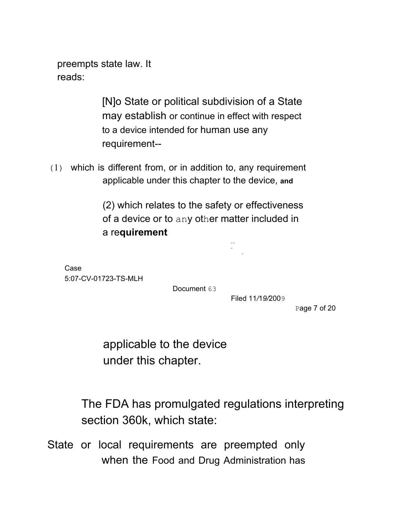preempts state law. It reads:

> [N]o State or political subdivision of a State may establish or continue in effect with respect to a device intended for human use any requirement--

(1) which is different from, or in addition to, any requirement applicable under this chapter to the device, **and**

> (2) which relates to the safety or effectiveness of a device or to any other matter included in a re**quirement**

> > -- - -

Case 5:07-CV-01723-TS-MLH

Document 63

Filed 11*/*1*9/*2009

Page 7 of 20

applicable to the device under this chapter.

The FDA has promulgated regulations interpreting section 360k, which state:

State or local requirements are preempted only when the Food and Drug Administration has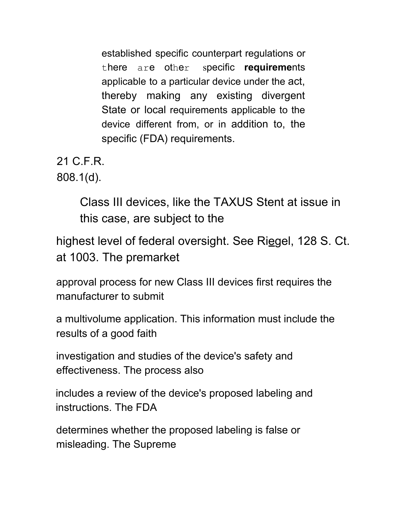established specific counterpart regulations or there are other specific **requireme**nts applicable to a particular device under the act, thereby making any existing divergent State or local requirements applicable to the device different from, or in addition to, the specific (FDA) requirements.

21 C.F.R. 808.1(d).

> Class III devices, like the TAXUS Stent at issue in this case, are subject to the

highest level of federal oversight. See Riegel, 128 S. Ct. at 1003. The premarket

approval process for new Class III devices first requires the manufacturer to submit

a multivolume application. This information must include the results of a good faith

investigation and studies of the device's safety and effectiveness. The process also

includes a review of the device's proposed labeling and instructions. The FDA

determines whether the proposed labeling is false or misleading. The Supreme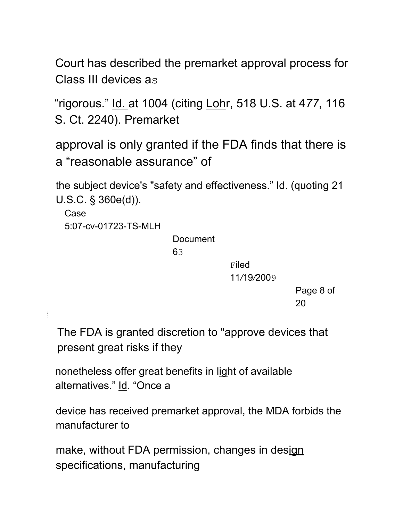Court has described the premarket approval process for Class III devices as

"rigorous." Id. at 1004 (citing Lohr, 518 U.S. at 4*77*, 116 S. Ct. 2240). Premarket

approval is only granted if the FDA finds that there is a "reasonable assurance" of

the subject device's "safety and effectiveness." Id. (quoting 21 U.S.C. § 360e(d)).

Case 5:07*-*cv-01723-TS-MLH

Document

63

**Filed** 11*/*19*/*2009

> Page 8 of 20

The FDA is granted discretion to "approve devices that present great risks if they

nonetheless offer great benefits in light of available alternatives." Id. "Once a

device has received premarket approval, the MDA forbids the manufacturer to

make, without FDA permission, changes in design specifications, manufacturing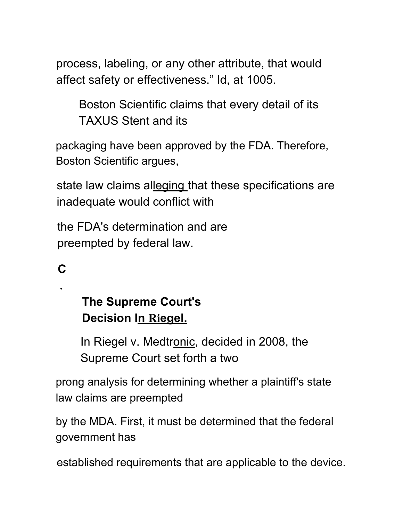process, labeling, or any other attribute, that would affect safety or effectiveness." Id, at 1005.

Boston Scientific claims that every detail of its TAXUS Stent and its

packaging have been approved by the FDA. Therefore, Boston Scientific argues,

state law claims alleging that these specifications are inadequate would conflict with

the FDA's determination and are preempted by federal law.

**C**

**.**

# **The Supreme Court's Decision In Riegel.**

In Riegel v. Medtronic, decided in 2008, the Supreme Court set forth a two

prong analysis for determining whether a plaintiff's state law claims are preempted

by the MDA. First, it must be determined that the federal government has

established requirements that are applicable to the device.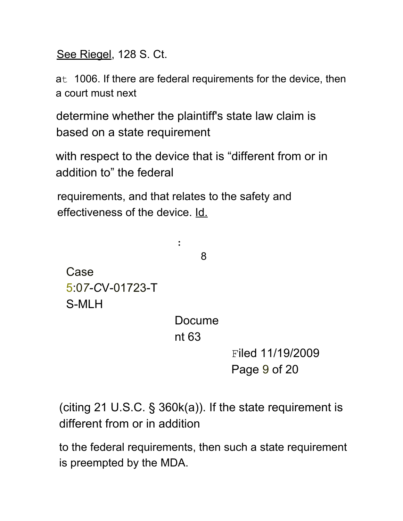See Riegel, 128 S. Ct.

at 1006. If there are federal requirements for the device, then a court must next

determine whether the plaintiff's state law claim is based on a state requirement

with respect to the device that is "different from or in addition to" the federal

requirements, and that relates to the safety and effectiveness of the device. Id.

:

8

Case 5:0*7-C*V-01723-T S-MLH

> Docume nt 63

> > Filed 11/19/2009 Page 9 of 20

(citing 21 U.S.C. § 360k(a)). If the state requirement is different from or in addition

to the federal requirements, then such a state requirement is preempted by the MDA.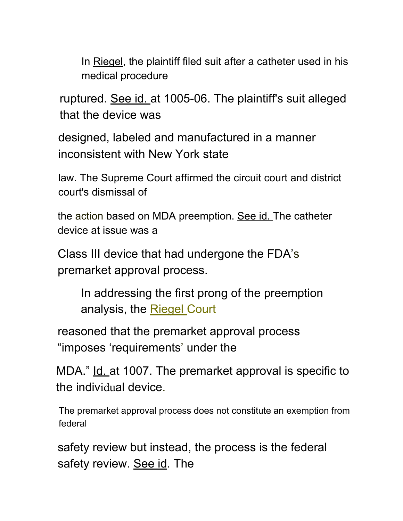In Riegel, the plaintiff filed suit after a catheter used in his medical procedure

ruptured. See id. at 1005-06. The plaintiff's suit alleged that the device was

designed, labeled and manufactured in a manner inconsistent with New York state

law. The Supreme Court affirmed the circuit court and district court's dismissal of

the action based on MDA preemption. See id. The catheter device at issue was a

Class III device that had undergone the FDA's premarket approval process.

In addressing the first prong of the preemption analysis, the Riegel Court

reasoned that the premarket approval process "imposes 'requirements' under the

MDA." Id. at 1007. The premarket approval is specific to the individual device.

The premarket approval process does not constitute an exemption from federal

safety review but instead, the process is the federal safety review. See id. The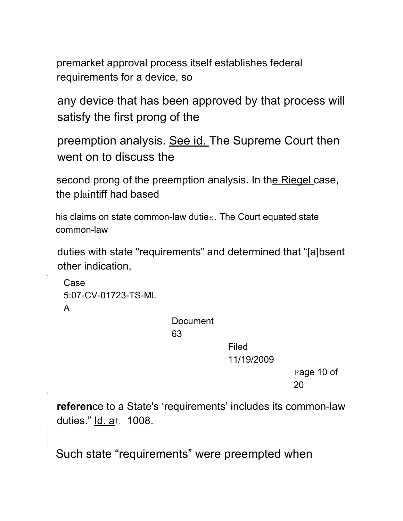premarket approval process itself establishes federal requirements for a device, so

any device that has been approved by that process will satisfy the first prong of the

preemption analysis. See id. The Supreme Court then went on to discuss the

second prong of the preemption analysis. In the Riegel case, the plaintiff had based

his claims on state common-law duties. The Court equated state common-law

duties with state "requirements" and determined that "[a]bsent other indication,

```
Case
5:07-CV-01723-TS-ML
A
```
H

 $\frac{1}{1}$ 

**Document** 

63

Filed 11/19/2009

> Page 10 of 20

**referen**ce to a State's 'requirements' includes its common-law duties." Id. at 1008.

Such state "requirements" were preempted when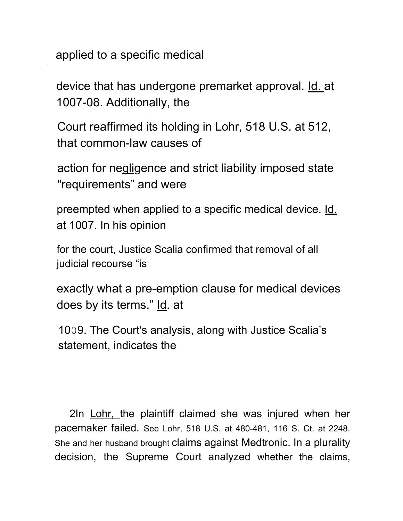applied to a specific medical

device that has undergone premarket approval. Id. at 1007-08. Additionally, the

Court reaffirmed its holding in Lohr, 518 U.S. at 512, that common-law causes of

action for negligence and strict liability imposed state "requirements" and were

preempted when applied to a specific medical device. Id. at 1007. In his opinion

for the court, Justice Scalia confirmed that removal of all judicial recourse "is

exactly what a pre-emption clause for medical devices does by its terms." Id. at

1009. The Court's analysis, along with Justice Scalia's statement, indicates the

2In Lohr, the plaintiff claimed she was injured when her pacemaker failed. See Lohr, 518 U.S. at 480-481, 116 S. Ct. at 2248. She and her husband brought claims against Medtronic. In a plurality decision, the Supreme Court analyzed whether the claims,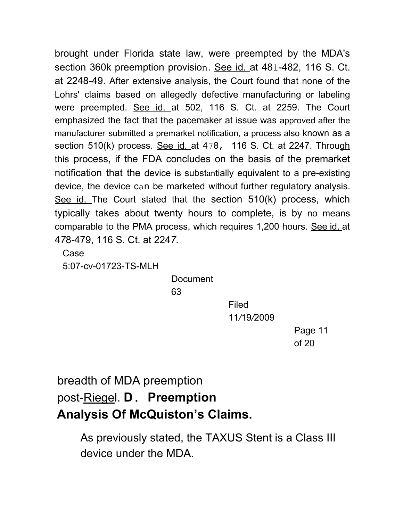brought under Florida state law, were preempted by the MDA's section 360k preemption provision. See id. at 481-482, 116 S. Ct. at 2248-49. After extensive analysis, the Court found that none of the Lohrs' claims based on allegedly defective manufacturing or labeling were preempted. See id. at 502, 116 S. Ct. at 2259. The Court emphasized the fact that the pacemaker at issue was approved after the manufacturer submitted a premarket notification, a process also known as a section 510(k) process. See id. at 478, 116 S. Ct. at 2247. Through this process, if the FDA concludes on the basis of the premarket notification that the device is substantially equivalent to a pre-existing device, the device can be marketed without further regulatory analysis. See id. The Court stated that the section 510(k) process, which typically takes about twenty hours to complete, is by no means comparable to the PMA process, which requires 1,200 hours. See id. at 4*7*8*-*479, 116 S. Ct. at 224*7.*

Case

5:07-cv-01723-TS-MLH

Document

63

Filed 11*/*19*/*2009

> Page 11 of 20

# breadth of MDA preemption post-Riegel. **D. Preemption Analysis Of McQuiston's Claims.**

As previously stated, the TAXUS Stent is a Class III device under the MDA.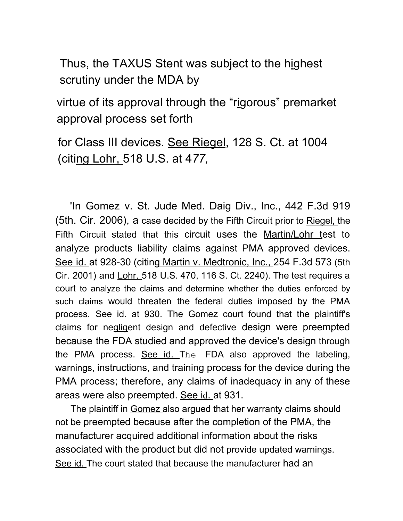Thus, the TAXUS Stent was subject to the highest scrutiny under the MDA by

virtue of its approval through the "rigorous" premarket approval process set forth

for Class III devices. See Riegel, 128 S. Ct. at 1004 (citing Lohr, 518 U.S. at 4*77,*

'In Gomez v. St. Jude Med. Daig Div., Inc., 442 F.3d 919 (5th. Cir. 2006), a case decided by the Fifth Circuit prior to Riegel, the Fifth Circuit stated that this circuit uses the Martin/Lohr test to analyze products liability claims against PMA approved devices. See id. at 928-30 (citing Martin v. Medtronic, Inc., 254 F.3d 573 (5th Cir. 2001) and Lohr, 518 U.S. 470, 116 S. Ct. 2240). The test requires a court to analyze the claims and determine whether the duties enforced by such claims would threaten the federal duties imposed by the PMA process. See id. at 930. The Gomez court found that the plaintiff's claims for negligent design and defective design were preempted because the FDA studied and approved the device's design through the PMA process. See id. The FDA also approved the labeling, warnings, instructions, and training process for the device during the PMA process; therefore, any claims of inadequacy in any of these areas were also preempted. See id. at 931.

The plaintiff in Gomez also argued that her warranty claims should not be preempted because after the completion of the PMA, the manufacturer acquired additional information about the risks associated with the product but did not provide updated warnings. See id. The court stated that because the manufacturer had an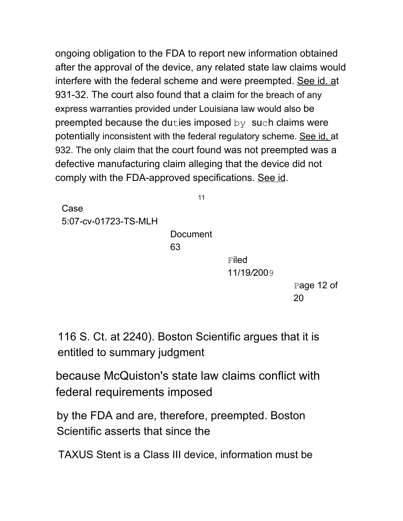ongoing obligation to the FDA to report new information obtained after the approval of the device, any related state law claims would interfere with the federal scheme and were preempted. See id. at 931-32. The court also found that a claim for the breach of any express warranties provided under Louisiana law would also be preempted because the duties imposed by such claims were potentially inconsistent with the federal regulatory scheme. See id, at 932. The only claim that the court found was not preempted was a defective manufacturing claim alleging that the device did not comply with the FDA-approved specifications. See id.

Case 5:07*-*cv-01723-TS-MLH

> **Document** 63

11

**Filed** 11/19*/*2009

> Page 12 of 20

116 S. Ct. at 2240). Boston Scientific argues that it is entitled to summary judgment

because McQuiston's state law claims conflict with federal requirements imposed

by the FDA and are, therefore, preempted. Boston Scientific asserts that since the

TAXUS Stent is a Class III device, information must be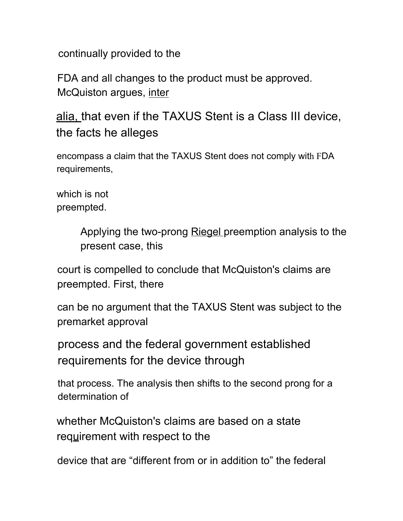continually provided to the

FDA and all changes to the product must be approved. McQuiston argues, inter

alia, that even if the TAXUS Stent is a Class III device, the facts he alleges

encompass a claim that the TAXUS Stent does not comply with FDA requirements,

which is not preempted.

> Applying the two-prong Riegel preemption analysis to the present case, this

court is compelled to conclude that McQuiston's claims are preempted. First, there

can be no argument that the TAXUS Stent was subject to the premarket approval

process and the federal government established requirements for the device through

that process. The analysis then shifts to the second prong for a determination of

whether McQuiston's claims are based on a state requirement with respect to the

device that are "different from or in addition to" the federal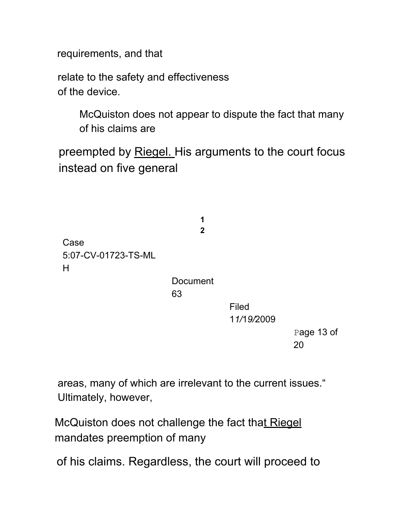requirements, and that

relate to the safety and effectiveness of the device.

> McQuiston does not appear to dispute the fact that many of his claims are

preempted by Riegel. His arguments to the court focus instead on five general

> **1 2**

Case 5:07-CV-01723-TS-ML H

> **Document** 63

> > Filed 1*1/*1*9/*2009

> > > Page 13 of 20

areas, many of which are irrelevant to the current issues." Ultimately, however,

McQuiston does not challenge the fact that Riegel mandates preemption of many

of his claims. Regardless, the court will proceed to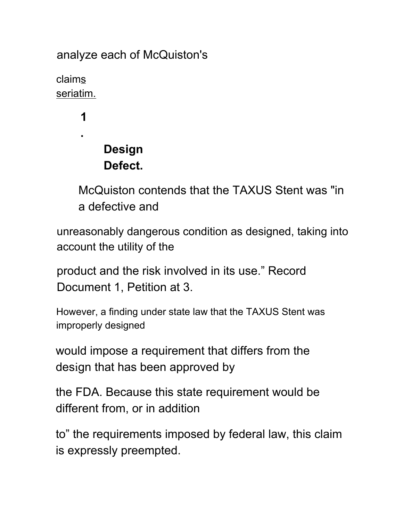analyze each of McQuiston's

claims seriatim.

**1**

**.**

# **Design Defect.**

McQuiston contends that the TAXUS Stent was "in a defective and

unreasonably dangerous condition as designed, taking into account the utility of the

product and the risk involved in its use." Record Document 1, Petition at 3.

However, a finding under state law that the TAXUS Stent was improperly designed

would impose a requirement that differs from the design that has been approved by

the FDA. Because this state requirement would be different from, or in addition

to" the requirements imposed by federal law, this claim is expressly preempted.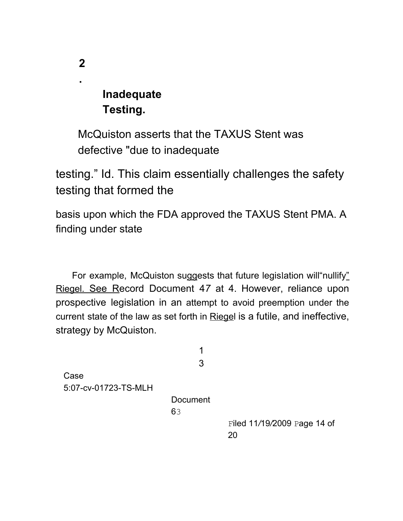## **Inadequate Testing.**

McQuiston asserts that the TAXUS Stent was defective "due to inadequate

testing." Id. This claim essentially challenges the safety testing that formed the

basis upon which the FDA approved the TAXUS Stent PMA. A finding under state

For example, McQuiston suggests that future legislation will"nullify" Riegel. See Record Document 4*7* at 4. However, reliance upon prospective legislation in an attempt to avoid preemption under the current state of the law as set forth in Riegel is a futile, and ineffective, strategy by McQuiston.

1 3 Case 5:07-cv-01723-TS-MLH Document 63 Filed 11*/*19*/*2009 Page 14 of 20

**.**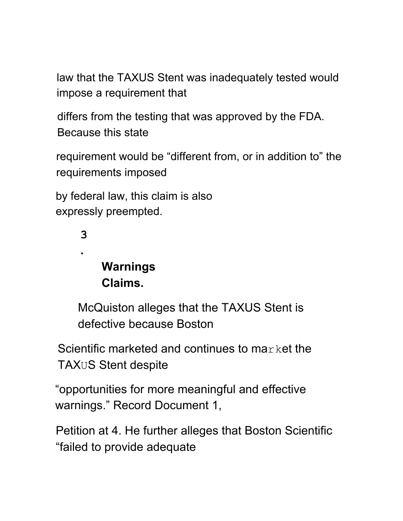law that the TAXUS Stent was inadequately tested would impose a requirement that

differs from the testing that was approved by the FDA. Because this state

requirement would be "different from, or in addition to" the requirements imposed

by federal law, this claim is also expressly preempted.

**3**

**.**

# **Warnings Claims.**

McQuiston alleges that the TAXUS Stent is defective because Boston

Scientific marketed and continues to market the TAXUS Stent despite

"opportunities for more meaningful and effective warnings." Record Document 1,

Petition at 4. He further alleges that Boston Scientific "failed to provide adequate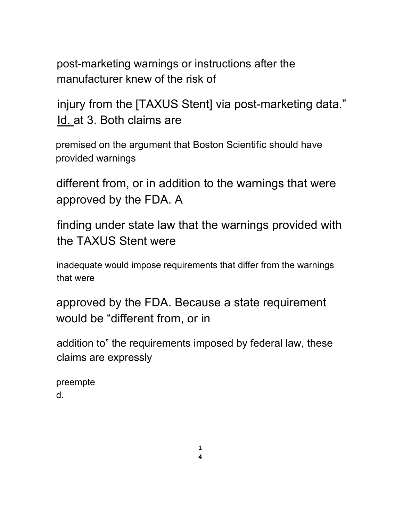post-marketing warnings or instructions after the manufacturer knew of the risk of

injury from the [TAXUS Stent] via post-marketing data." Id. at 3. Both claims are

premised on the argument that Boston Scientific should have provided warnings

different from, or in addition to the warnings that were approved by the FDA. A

finding under state law that the warnings provided with the TAXUS Stent were

inadequate would impose requirements that differ from the warnings that were

approved by the FDA. Because a state requirement would be "different from, or in

addition to" the requirements imposed by federal law, these claims are expressly

preempte d.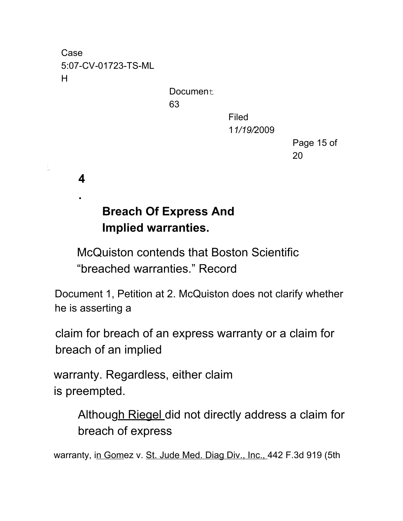Case 5:07-CV*-*01723-TS-ML H

> Document. 63

Filed 1*1/19/*2009

> Page 15 of 20

**4**

**.**

----

# **Breach Of Express And Implied warranties.**

McQuiston contends that Boston Scientific "breached warranties." Record

Document 1, Petition at 2. McQuiston does not clarify whether he is asserting a

claim for breach of an express warranty or a claim for breach of an implied

warranty. Regardless, either claim is preempted.

> Although Riegel did not directly address a claim for breach of express

warranty, in Gomez v. St. Jude Med. Diag Div., Inc., 442 F.3d 919 (5th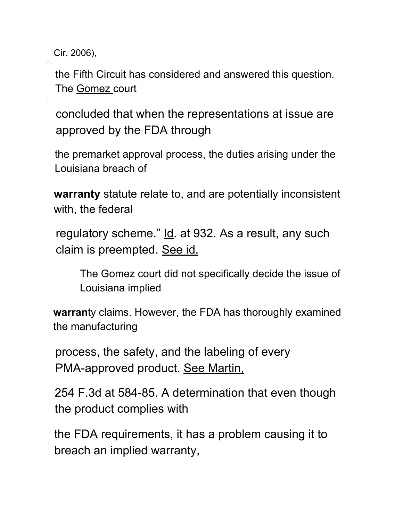Cir. 2006),

the Fifth Circuit has considered and answered this question. The Gomez court

concluded that when the representations at issue are approved by the FDA through

the premarket approval process, the duties arising under the Louisiana breach of

**warranty** statute relate to, and are potentially inconsistent with, the federal

regulatory scheme." Id. at 932. As a result, any such claim is preempted. See id.

The Gomez court did not specifically decide the issue of Louisiana implied

**warran**ty claims. However, the FDA has thoroughly examined the manufacturing

process, the safety, and the labeling of every PMA-approved product. See Martin,

254 F.3d at 584-85. A determination that even though the product complies with

the FDA requirements, it has a problem causing it to breach an implied warranty,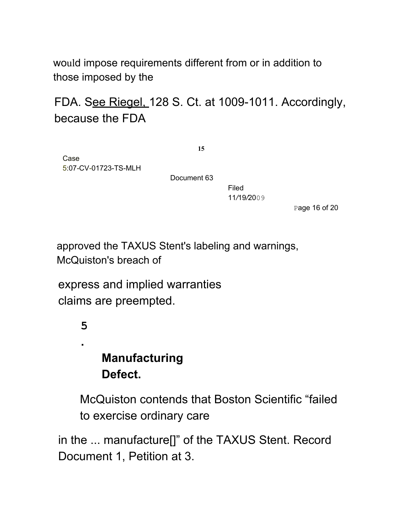would impose requirements different from or in addition to those imposed by the

## FDA. See Riegel, 128 S. Ct. at 1009-1011. Accordingly, because the FDA

**15**

Case 5:07*-*CV-01723-TS-MLH

Document 63

Filed 11*/*19*/*2009

Page 16 of 20

approved the TAXUS Stent's labeling and warnings, McQuiston's breach of

express and implied warranties claims are preempted.

### **5**

**.**

# **Manufacturing Defect.**

McQuiston contends that Boston Scientific "failed to exercise ordinary care

in the ... manufacture[]" of the TAXUS Stent. Record Document 1, Petition at 3.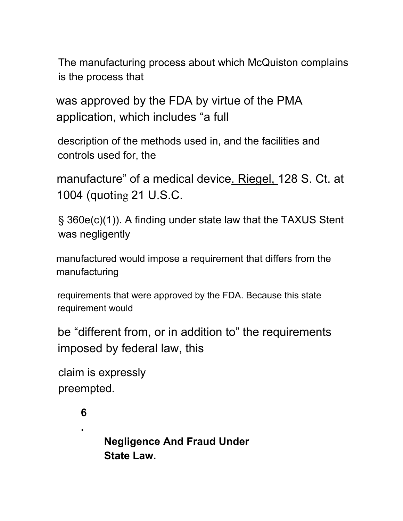The manufacturing process about which McQuiston complains is the process that

was approved by the FDA by virtue of the PMA application, which includes "a full

description of the methods used in, and the facilities and controls used for, the

manufacture" of a medical device. Riegel, 128 S. Ct. at 1004 (quoting 21 U.S.C.

§ 360e(c)(1)). A finding under state law that the TAXUS Stent was negligently

manufactured would impose a requirement that differs from the manufacturing

requirements that were approved by the FDA. Because this state requirement would

be "different from, or in addition to" the requirements imposed by federal law, this

```
claim is expressly
preempted.
```
# **6**

**.**

**Negligence And Fraud Under State Law.**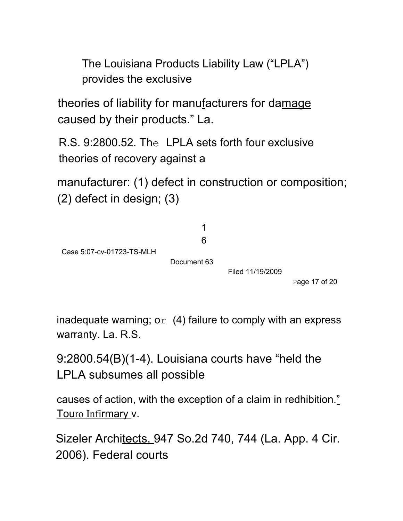The Louisiana Products Liability Law ("LPLA") provides the exclusive

theories of liability for manufacturers for damage caused by their products." La.

R.S. 9:2800.52. The LPLA sets forth four exclusive theories of recovery against a

manufacturer: (1) defect in construction or composition; (2) defect in design; (3)



inadequate warning;  $o_r$  (4) failure to comply with an express warranty. La. R.S.

9:2800.54(B)(1-4). Louisiana courts have "held the LPLA subsumes all possible

causes of action, with the exception of a claim in redhibition." Touro Infirmary v.

Sizeler Architects, 947 So.2d 740, 744 (La. App. 4 Cir. 2006). Federal courts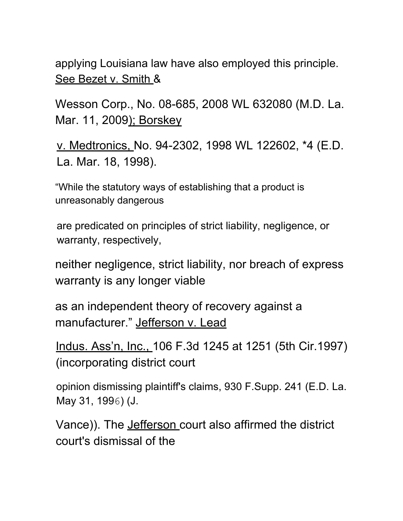applying Louisiana law have also employed this principle. See Bezet v. Smith &

Wesson Corp., No. 08-685, 2008 WL 632080 (M.D. La. Mar. 11, 2009); Borskey

v. Medtronics, No. 94-2302, 1998 WL 122602, \*4 (E.D. La. Mar. 18, 1998).

"While the statutory ways of establishing that a product is unreasonably dangerous

are predicated on principles of strict liability, negligence, or warranty, respectively,

neither negligence, strict liability, nor breach of express warranty is any longer viable

as an independent theory of recovery against a manufacturer." Jefferson v. Lead

Indus. Ass'n, Inc., 106 F.3d 1245 at 1251 (5th Cir.1997) (incorporating district court

opinion dismissing plaintiff's claims, 930 F.Supp. 241 (E.D. La. May 31, 1996) (J.

Vance)). The Jefferson court also affirmed the district court's dismissal of the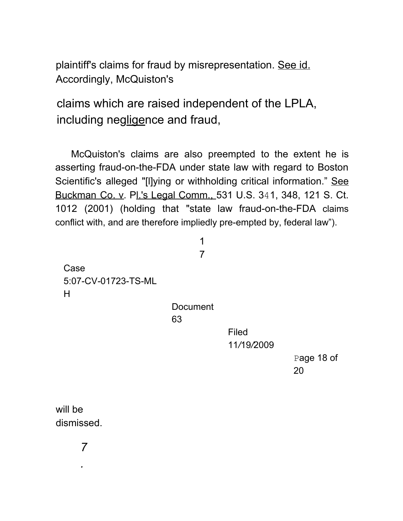plaintiff's claims for fraud by misrepresentation. See id. Accordingly, McQuiston's

claims which are raised independent of the LPLA, including negligence and fraud,

McQuiston's claims are also preempted to the extent he is asserting fraud-on-the-FDA under state law with regard to Boston Scientific's alleged "[I]ying or withholding critical information." See Buckman Co. v. Pl.'s Legal Comm., 531 U.S. 341, 348, 121 S. Ct. 1012 (2001) (holding that "state law fraud-on-the-FDA claims conflict with, and are therefore impliedly pre-empted by, federal law").

> 1 7

Case 5:07-CV*-*01723-TS-ML H

**Document** 

63

Filed 11*/*19*/*2009

Page 18 of 20

will be dismissed.

*.*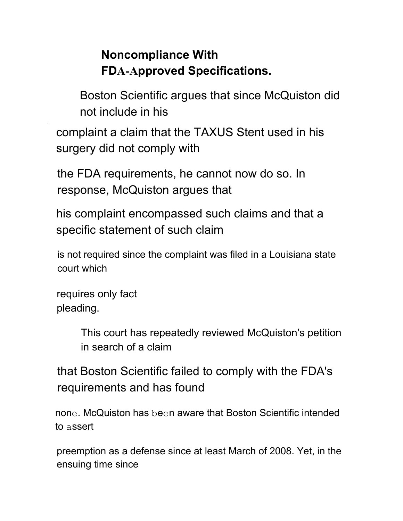# **Noncompliance With FDA-Approved Specifications.**

Boston Scientific argues that since McQuiston did not include in his

complaint a claim that the TAXUS Stent used in his surgery did not comply with

the FDA requirements, he cannot now do so. In response, McQuiston argues that

his complaint encompassed such claims and that a specific statement of such claim

is not required since the complaint was filed in a Louisiana state court which

requires only fact pleading.

> This court has repeatedly reviewed McQuiston's petition in search of a claim

that Boston Scientific failed to comply with the FDA's requirements and has found

none. McQuiston has been aware that Boston Scientific intended to assert

preemption as a defense since at least March of 2008. Yet, in the ensuing time since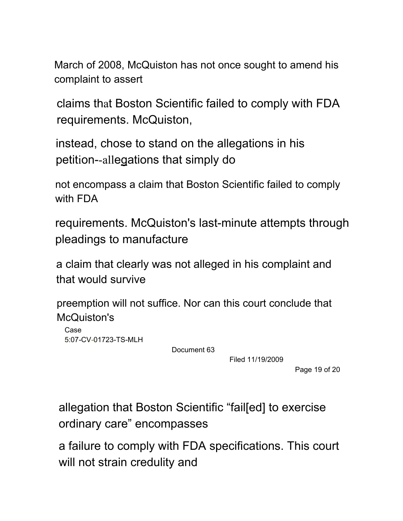March of 2008, McQuiston has not once sought to amend his complaint to assert

claims that Boston Scientific failed to comply with FDA requirements. McQuiston,

instead, chose to stand on the allegations in his petition--allegations that simply do

not encompass a claim that Boston Scientific failed to comply with FDA

requirements. McQuiston's last-minute attempts through pleadings to manufacture

a claim that clearly was not alleged in his complaint and that would survive

preemption will not suffice. Nor can this court conclude that McQuiston's

Case 5:07*-*CV*-*01723-TS-MLH

Document 63

Filed 11/19/2009

Page 19 of 20

allegation that Boston Scientific "fail[ed] to exercise ordinary care" encompasses

a failure to comply with FDA specifications. This court will not strain credulity and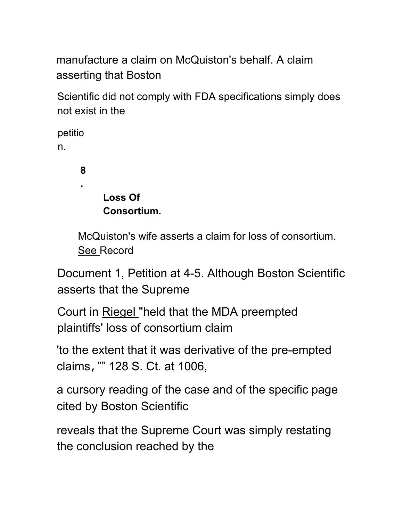manufacture a claim on McQuiston's behalf. A claim asserting that Boston

Scientific did not comply with FDA specifications simply does not exist in the

petitio n.

**8**

**.**

## **Loss Of Consortium.**

McQuiston's wife asserts a claim for loss of consortium. See Record

Document 1, Petition at 4-5. Although Boston Scientific asserts that the Supreme

Court in Riegel "held that the MDA preempted plaintiffs' loss of consortium claim

'to the extent that it was derivative of the pre-empted claims,"" 128 S. Ct. at 1006,

a cursory reading of the case and of the specific page cited by Boston Scientific

reveals that the Supreme Court was simply restating the conclusion reached by the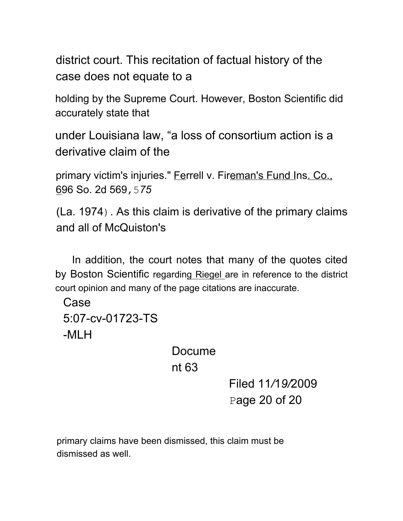district court. This recitation of factual history of the case does not equate to a

holding by the Supreme Court. However, Boston Scientific did accurately state that

under Louisiana law, "a loss of consortium action is a derivative claim of the

primary victim's injuries." Ferrell v. Fireman's Fund Ins. Co., 696 So. 2d 569,5*75*

(La. 1974). As this claim is derivative of the primary claims and all of McQuiston's

In addition, the court notes that many of the quotes cited by Boston Scientific regarding Riegel are in reference to the district court opinion and many of the page citations are inaccurate.

Case 5:07-cv-01723-TS -MLH

> Docume nt 63

> > Filed 11*/*1*9/*2009 Page 20 of 20

primary claims have been dismissed, this claim must be dismissed as well.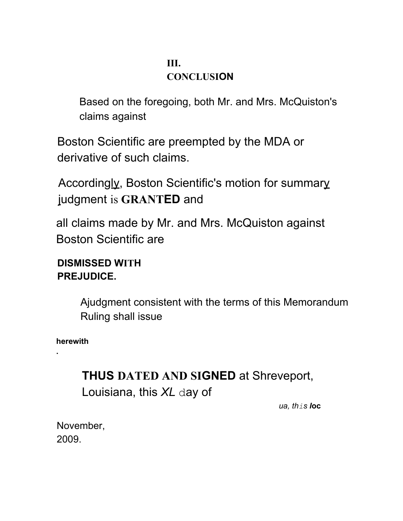#### **III. CONCLUSION**

Based on the foregoing, both Mr. and Mrs. McQuiston's claims against

Boston Scientific are preempted by the MDA or derivative of such claims.

Accordingly, Boston Scientific's motion for summary judgment is **GRANTED** and

all claims made by Mr. and Mrs. McQuiston against Boston Scientific are

#### **DISMISSED WITH PREJUDICE.**

Ajudgment consistent with the terms of this Memorandum Ruling shall issue

**herewith**

**.**

# **THUS DATED AND SIGNED** at Shreveport, Louisiana, this *XL* day of

*ua, this l***oc**

November, 2009.